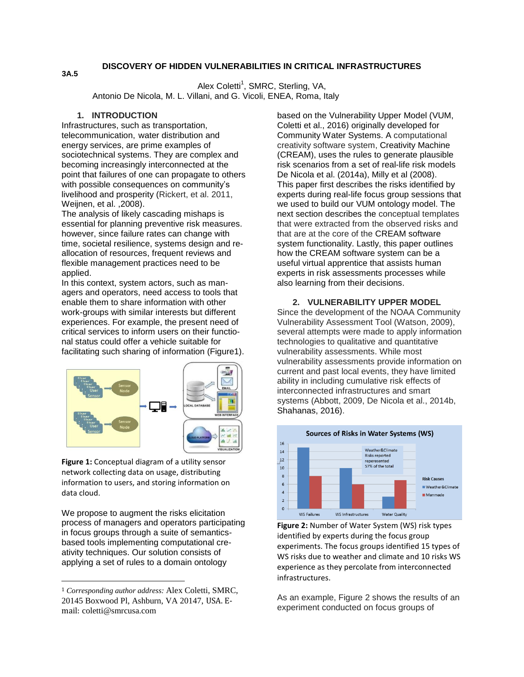# **DISCOVERY OF HIDDEN VULNERABILITIES IN CRITICAL INFRASTRUCTURES**

Alex Coletti<sup>1</sup>, SMRC, Sterling, VA, Antonio De Nicola, M. L. Villani, and G. Vicoli, ENEA, Roma, Italy

# **1. INTRODUCTION**

**3A.5**

Infrastructures, such as transportation, telecommunication, water distribution and energy services, are prime examples of sociotechnical systems. They are complex and becoming increasingly interconnected at the point that failures of one can propagate to others with possible consequences on community's livelihood and prosperity (Rickert, et al. 2011, Weijnen, et al. ,2008).

The analysis of likely cascading mishaps is essential for planning preventive risk measures. however, since failure rates can change with time, societal resilience, systems design and reallocation of resources, frequent reviews and flexible management practices need to be applied.

In this context, system actors, such as managers and operators, need access to tools that enable them to share information with other work-groups with similar interests but different experiences. For example, the present need of critical services to inform users on their functional status could offer a vehicle suitable for facilitating such sharing of information (Figure1).



**Figure 1:** Conceptual diagram of a utility sensor network collecting data on usage, distributing information to users, and storing information on data cloud.

We propose to augment the risks elicitation process of managers and operators participating in focus groups through a suite of semanticsbased tools implementing computational creativity techniques. Our solution consists of applying a set of rules to a domain ontology

 $\overline{a}$ 

based on the Vulnerability Upper Model (VUM, Coletti et al., 2016) originally developed for Community Water Systems. A computational creativity software system, Creativity Machine (CREAM), uses the rules to generate plausible risk scenarios from a set of real-life risk models De Nicola et al. (2014a), Milly et al (2008). This paper first describes the risks identified by experts during real-life focus group sessions that we used to build our VUM ontology model. The next section describes the conceptual templates that were extracted from the observed risks and that are at the core of the CREAM software system functionality. Lastly, this paper outlines how the CREAM software system can be a useful virtual apprentice that assists human experts in risk assessments processes while also learning from their decisions.

# **2. VULNERABILITY UPPER MODEL**

Since the development of the NOAA Community Vulnerability Assessment Tool (Watson, 2009), several attempts were made to apply information technologies to qualitative and quantitative vulnerability assessments. While most vulnerability assessments provide information on current and past local events, they have limited ability in including cumulative risk effects of interconnected infrastructures and smart systems (Abbott, 2009, De Nicola et al., 2014b, Shahanas, 2016).



**Figure 2:** Number of Water System (WS) risk types identified by experts during the focus group experiments. The focus groups identified 15 types of WS risks due to weather and climate and 10 risks WS experience as they percolate from interconnected infrastructures.

As an example, Figure 2 shows the results of an experiment conducted on focus groups of

<sup>1</sup> *Corresponding author address:* Alex Coletti, SMRC, 20145 Boxwood Pl, Ashburn, VA 20147, USA. Email: coletti@smrcusa.com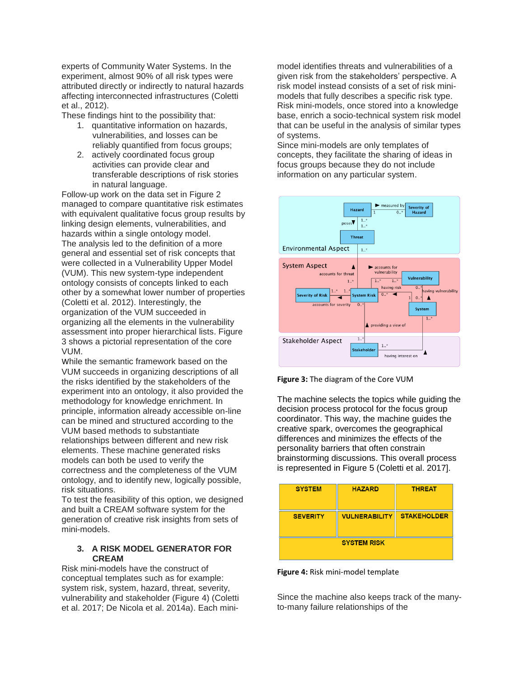experts of Community Water Systems. In the experiment, almost 90% of all risk types were attributed directly or indirectly to natural hazards affecting interconnected infrastructures (Coletti et al., 2012).

These findings hint to the possibility that:

- 1. quantitative information on hazards, vulnerabilities, and losses can be reliably quantified from focus groups;
- 2. actively coordinated focus group activities can provide clear and transferable descriptions of risk stories in natural language.

Follow-up work on the data set in Figure 2 managed to compare quantitative risk estimates with equivalent qualitative focus group results by linking design elements, vulnerabilities, and hazards within a single ontology model. The analysis led to the definition of a more general and essential set of risk concepts that were collected in a Vulnerability Upper Model (VUM). This new system-type independent ontology consists of concepts linked to each other by a somewhat lower number of properties (Coletti et al. 2012). Interestingly, the organization of the VUM succeeded in organizing all the elements in the vulnerability assessment into proper hierarchical lists. Figure 3 shows a pictorial representation of the core VUM.

While the semantic framework based on the VUM succeeds in organizing descriptions of all the risks identified by the stakeholders of the experiment into an ontology, it also provided the methodology for knowledge enrichment. In principle, information already accessible on-line can be mined and structured according to the VUM based methods to substantiate relationships between different and new risk elements. These machine generated risks models can both be used to verify the correctness and the completeness of the VUM ontology, and to identify new, logically possible, risk situations.

To test the feasibility of this option, we designed and built a CREAM software system for the generation of creative risk insights from sets of mini-models.

## **3. A RISK MODEL GENERATOR FOR CREAM**

Risk mini-models have the construct of conceptual templates such as for example: system risk, system, hazard, threat, severity, vulnerability and stakeholder (Figure 4) (Coletti et al. 2017; De Nicola et al. 2014a). Each minimodel identifies threats and vulnerabilities of a given risk from the stakeholders' perspective. A risk model instead consists of a set of risk minimodels that fully describes a specific risk type. Risk mini-models, once stored into a knowledge base, enrich a socio-technical system risk model that can be useful in the analysis of similar types of systems.

Since mini-models are only templates of concepts, they facilitate the sharing of ideas in focus groups because they do not include information on any particular system.





The machine selects the topics while guiding the decision process protocol for the focus group coordinator. This way, the machine guides the creative spark, overcomes the geographical differences and minimizes the effects of the personality barriers that often constrain brainstorming discussions. This overall process is represented in Figure 5 (Coletti et al. 2017].

| <b>SYSTEM</b>      | <b>HAZARD</b>        | <b>THREAT</b>      |
|--------------------|----------------------|--------------------|
| <b>SEVERITY</b>    | <b>VULNERABILITY</b> | <b>STAKEHOLDER</b> |
| <b>SYSTEM RISK</b> |                      |                    |

**Figure 4:** Risk mini-model template

Since the machine also keeps track of the manyto-many failure relationships of the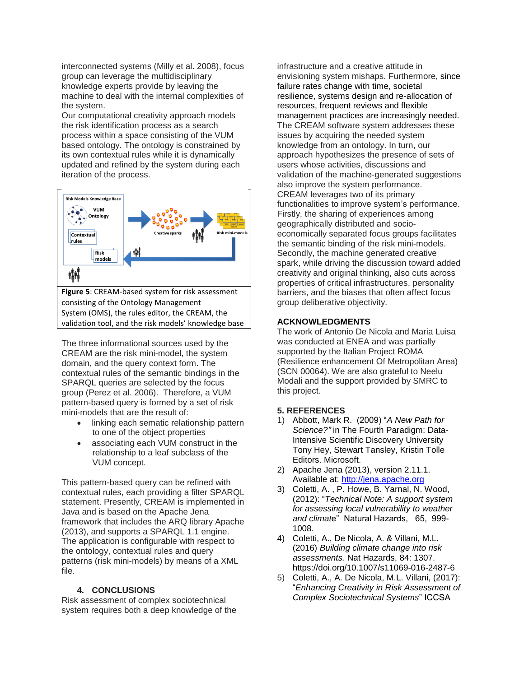interconnected systems (Milly et al. 2008), focus group can leverage the multidisciplinary knowledge experts provide by leaving the machine to deal with the internal complexities of the system.

Our computational creativity approach models the risk identification process as a search process within a space consisting of the VUM based ontology. The ontology is constrained by its own contextual rules while it is dynamically updated and refined by the system during each iteration of the process.



The three informational sources used by the CREAM are the risk mini-model, the system domain, and the query context form. The contextual rules of the semantic bindings in the SPARQL queries are selected by the focus group (Perez et al. 2006). Therefore, a VUM pattern-based query is formed by a set of risk mini-models that are the result of:

- linking each sematic relationship pattern to one of the object properties
- associating each VUM construct in the relationship to a leaf subclass of the VUM concept.

This pattern-based query can be refined with contextual rules, each providing a filter SPARQL statement. Presently, CREAM is implemented in Java and is based on the Apache Jena framework that includes the ARQ library Apache (2013), and supports a SPARQL 1.1 engine. The application is configurable with respect to the ontology, contextual rules and query patterns (risk mini-models) by means of a XML file.

## **4. CONCLUSIONS**

Risk assessment of complex sociotechnical system requires both a deep knowledge of the infrastructure and a creative attitude in envisioning system mishaps. Furthermore, since failure rates change with time, societal resilience, systems design and re-allocation of resources, frequent reviews and flexible management practices are increasingly needed. The CREAM software system addresses these issues by acquiring the needed system knowledge from an ontology. In turn, our approach hypothesizes the presence of sets of users whose activities, discussions and validation of the machine-generated suggestions also improve the system performance. CREAM leverages two of its primary functionalities to improve system's performance. Firstly, the sharing of experiences among geographically distributed and socioeconomically separated focus groups facilitates the semantic binding of the risk mini-models. Secondly, the machine generated creative spark, while driving the discussion toward added creativity and original thinking, also cuts across properties of critical infrastructures, personality barriers, and the biases that often affect focus group deliberative objectivity.

## **ACKNOWLEDGMENTS**

The work of Antonio De Nicola and Maria Luisa was conducted at ENEA and was partially supported by the Italian Project ROMA (Resilience enhancement Of Metropolitan Area) (SCN 00064). We are also grateful to Neelu Modali and the support provided by SMRC to this project.

#### **5. REFERENCES**

- 1) Abbott, Mark R. (2009) "*A New Path for Science?"* in The Fourth Paradigm: Data-Intensive Scientific Discovery University Tony Hey, Stewart Tansley, Kristin Tolle Editors. Microsoft.
- 2) Apache Jena (2013), version 2.11.1. Available at: [http://jena.apache.org](http://jena.apache.org/)
- 3) Coletti, A. , P. Howe, B. Yarnal, N. Wood, (2012): "*Technical Note: A support system for assessing local vulnerability to weather and climat*e" Natural Hazards, 65, 999- 1008.
- 4) Coletti, A., De Nicola, A. & Villani, M.L. (2016) *Building climate change into risk assessments.* Nat Hazards, 84: 1307. https://doi.org/10.1007/s11069-016-2487-6
- 5) Coletti, A., A. De Nicola, M.L. Villani, (2017): "*Enhancing Creativity in Risk Assessment of Complex Sociotechnical Systems*" ICCSA